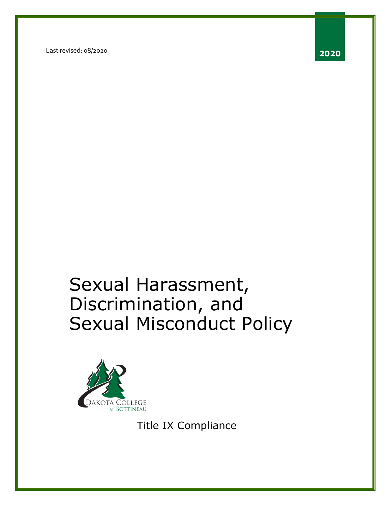Last revised: 08/2020 **2020**

# Sexual Harassment, Discrimination, and Sexual Misconduct Policy



Title IX Compliance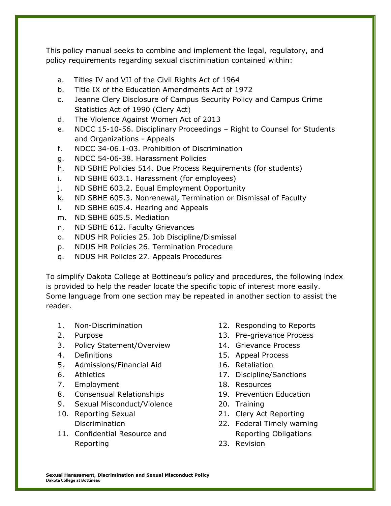This policy manual seeks to combine and implement the legal, regulatory, and policy requirements regarding sexual discrimination contained within:

- a. Titles IV and VII of the Civil Rights Act of 1964
- b. Title IX of the Education Amendments Act of 1972
- c. Jeanne Clery Disclosure of Campus Security Policy and Campus Crime Statistics Act of 1990 (Clery Act)
- d. The Violence Against Women Act of 2013
- e. NDCC 15-10-56. Disciplinary Proceedings Right to Counsel for Students and Organizations - Appeals
- f. NDCC 34-06.1-03. Prohibition of Discrimination
- g. NDCC 54-06-38. Harassment Policies
- h. ND SBHE Policies 514. Due Process Requirements (for students)
- i. ND SBHE 603.1. Harassment (for employees)
- j. ND SBHE 603.2. Equal Employment Opportunity
- k. ND SBHE 605.3. Nonrenewal, Termination or Dismissal of Faculty
- l. ND SBHE 605.4. Hearing and Appeals
- m. ND SBHE 605.5. Mediation
- n. ND SBHE 612. Faculty Grievances
- o. NDUS HR Policies 25. Job Discipline/Dismissal
- p. NDUS HR Policies 26. Termination Procedure
- q. NDUS HR Policies 27. Appeals Procedures

To simplify Dakota College at Bottineau's policy and procedures, the following index is provided to help the reader locate the specific topic of interest more easily. Some language from one section may be repeated in another section to assist the reader.

- 1. Non-Discrimination
- 2. Purpose
- 3. Policy Statement/Overview
- 4. Definitions
- 5. Admissions/Financial Aid
- 6. Athletics
- 7. Employment
- 8. Consensual Relationships
- 9. Sexual Misconduct/Violence
- 10. Reporting Sexual Discrimination
- 11. Confidential Resource and Reporting
- 12. Responding to Reports
- 13. Pre-grievance Process
- 14. Grievance Process
- 15. Appeal Process
- 16. Retaliation
- 17. Discipline/Sanctions
- 18. Resources
- 19. Prevention Education
- 20. Training
- 21. Clery Act Reporting
- 22. Federal Timely warning Reporting Obligations
- 23. Revision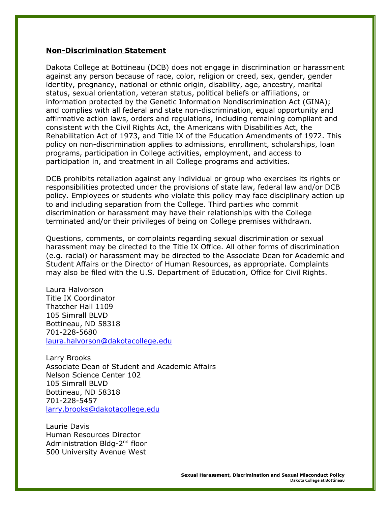#### **Non-Discrimination Statement**

Dakota College at Bottineau (DCB) does not engage in discrimination or harassment against any person because of race, color, religion or creed, sex, gender, gender identity, pregnancy, national or ethnic origin, disability, age, ancestry, marital status, sexual orientation, veteran status, political beliefs or affiliations, or information protected by the Genetic Information Nondiscrimination Act (GINA); and complies with all federal and state non-discrimination, equal opportunity and affirmative action laws, orders and regulations, including remaining compliant and consistent with the Civil Rights Act, the Americans with Disabilities Act, the Rehabilitation Act of 1973, and Title IX of the Education Amendments of 1972. This policy on non-discrimination applies to admissions, enrollment, scholarships, loan programs, participation in College activities, employment, and access to participation in, and treatment in all College programs and activities.

DCB prohibits retaliation against any individual or group who exercises its rights or responsibilities protected under the provisions of state law, federal law and/or DCB policy. Employees or students who violate this policy may face disciplinary action up to and including separation from the College. Third parties who commit discrimination or harassment may have their relationships with the College terminated and/or their privileges of being on College premises withdrawn.

Questions, comments, or complaints regarding sexual discrimination or sexual harassment may be directed to the Title IX Office. All other forms of discrimination (e.g. racial) or harassment may be directed to the Associate Dean for Academic and Student Affairs or the Director of Human Resources, as appropriate. Complaints may also be filed with the U.S. Department of Education, Office for Civil Rights.

Laura Halvorson Title IX Coordinator Thatcher Hall 1109 105 Simrall BLVD Bottineau, ND 58318 701-228-5680 [laura.halvorson@dakotacollege.edu](mailto:lisa.dooley@minotstateu.edu)

Larry Brooks Associate Dean of Student and Academic Affairs Nelson Science Center 102 105 Simrall BLVD Bottineau, ND 58318 701-228-5457 [larry.brooks@dakotacollege.edu](mailto:larry.brooks@dakotacollege.edu)

Laurie Davis Human Resources Director Administration Bldg-2<sup>nd</sup> floor 500 University Avenue West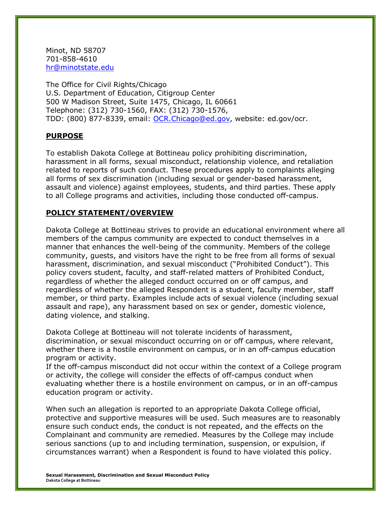Minot, ND 58707 701-858-4610 [hr@minotstate.edu](mailto:larry.brooks@dakotacollege.edu)

The Office for Civil Rights/Chicago U.S. Department of Education, Citigroup Center 500 W Madison Street, Suite 1475, Chicago, IL 60661 Telephone: (312) 730-1560, FAX: (312) 730-1576, TDD: (800) 877-8339, email: [OCR.Chicago@ed.gov,](mailto:OCR.Chicago@ed.gov) website: ed.gov/ocr.

#### **PURPOSE**

To establish Dakota College at Bottineau policy prohibiting discrimination, harassment in all forms, sexual misconduct, relationship violence, and retaliation related to reports of such conduct. These procedures apply to complaints alleging all forms of sex discrimination (including sexual or gender-based harassment, assault and violence) against employees, students, and third parties. These apply to all College programs and activities, including those conducted off-campus.

#### **POLICY STATEMENT/OVERVIEW**

Dakota College at Bottineau strives to provide an educational environment where all members of the campus community are expected to conduct themselves in a manner that enhances the well-being of the community. Members of the college community, guests, and visitors have the right to be free from all forms of sexual harassment, discrimination, and sexual misconduct ("Prohibited Conduct"). This policy covers student, faculty, and staff-related matters of Prohibited Conduct, regardless of whether the alleged conduct occurred on or off campus, and regardless of whether the alleged Respondent is a student, faculty member, staff member, or third party. Examples include acts of sexual violence (including sexual assault and rape), any harassment based on sex or gender, domestic violence, dating violence, and stalking.

Dakota College at Bottineau will not tolerate incidents of harassment, discrimination, or sexual misconduct occurring on or off campus, where relevant, whether there is a hostile environment on campus, or in an off-campus education program or activity.

If the off-campus misconduct did not occur within the context of a College program or activity, the college will consider the effects of off-campus conduct when evaluating whether there is a hostile environment on campus, or in an off-campus education program or activity.

When such an allegation is reported to an appropriate Dakota College official, protective and supportive measures will be used. Such measures are to reasonably ensure such conduct ends, the conduct is not repeated, and the effects on the Complainant and community are remedied. Measures by the College may include serious sanctions (up to and including termination, suspension, or expulsion, if circumstances warrant) when a Respondent is found to have violated this policy.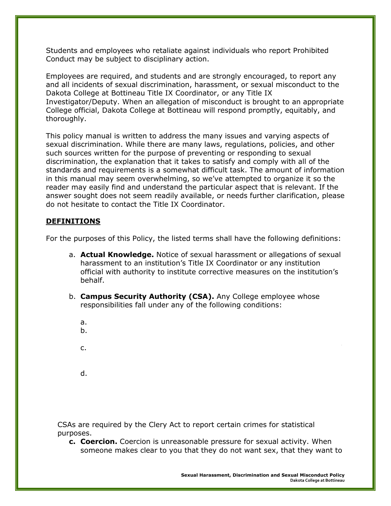Students and employees who retaliate against individuals who report Prohibited Conduct may be subject to disciplinary action.

Employees are required, and students and are strongly encouraged, to report any and all incidents of sexual discrimination, harassment, or sexual misconduct to the Dakota College at Bottineau Title IX Coordinator, or any Title IX Investigator/Deputy. When an allegation of misconduct is brought to an appropriate College official, Dakota College at Bottineau will respond promptly, equitably, and thoroughly.

This policy manual is written to address the many issues and varying aspects of sexual discrimination. While there are many laws, regulations, policies, and other such sources written for the purpose of preventing or responding to sexual discrimination, the explanation that it takes to satisfy and comply with all of the standards and requirements is a somewhat difficult task. The amount of information in this manual may seem overwhelming, so we've attempted to organize it so the reader may easily find and understand the particular aspect that is relevant. If the answer sought does not seem readily available, or needs further clarification, please do not hesitate to contact the Title IX Coordinator.

## **DEFINITIONS**

For the purposes of this Policy, the listed terms shall have the following definitions:

- a. **Actual Knowledge.** Notice of sexual harassment or allegations of sexual harassment to an institution's Title IX Coordinator or any institution official with authority to institute corrective measures on the institution's behalf.
- b. **Campus Security Authority (CSA).** Any College employee whose responsibilities fall under any of the following conditions:
	- $a.$  $b.$ c. Any individual or organization specified in any institution specified in any institution specified in any institution of  $\alpha$
	- d. An official of an institution who has significant  $\mathbf{d}$  and  $\mathbf{d}$  and  $\mathbf{d}$  and  $\mathbf{d}$  and  $\mathbf{d}$  and  $\mathbf{d}$  and  $\mathbf{d}$  and  $\mathbf{d}$  and  $\mathbf{d}$  and  $\mathbf{d}$  and  $\mathbf{d}$  and  $\mathbf{d}$  and  $\mathbf{d}$  and

CSAs are required by the Clery Act to report certain crimes for statistical purposes.

**c. Coercion.** Coercion is unreasonable pressure for sexual activity. When someone makes clear to you that they do not want sex, that they want to

> **Sexual Harassment, Discrimination and Sexual Misconduct Policy Dakota College at Bottineau**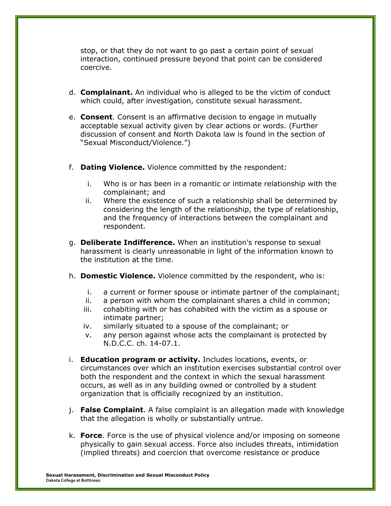stop, or that they do not want to go past a certain point of sexual interaction, continued pressure beyond that point can be considered coercive.

- d. **Complainant.** An individual who is alleged to be the victim of conduct which could, after investigation, constitute sexual harassment.
- e. **Consent**. Consent is an affirmative decision to engage in mutually acceptable sexual activity given by clear actions or words. (Further discussion of consent and North Dakota law is found in the section of "Sexual Misconduct/Violence.")
- f. **Dating Violence.** Violence committed by the respondent:
	- i. Who is or has been in a romantic or intimate relationship with the complainant; and
	- ii. Where the existence of such a relationship shall be determined by considering the length of the relationship, the type of relationship, and the frequency of interactions between the complainant and respondent.
- g. **Deliberate Indifference.** When an institution's response to sexual harassment is clearly unreasonable in light of the information known to the institution at the time.
- h. **Domestic Violence.** Violence committed by the respondent, who is:
	- i. a current or former spouse or intimate partner of the complainant;
	- ii. a person with whom the complainant shares a child in common;
	- iii. cohabiting with or has cohabited with the victim as a spouse or intimate partner;
	- iv. similarly situated to a spouse of the complainant; or
	- v. any person against whose acts the complainant is protected by N.D.C.C. ch. 14-07.1.
- i. **Education program or activity.** Includes locations, events, or circumstances over which an institution exercises substantial control over both the respondent and the context in which the sexual harassment occurs, as well as in any building owned or controlled by a student organization that is officially recognized by an institution.
- j. **False Complaint**. A false complaint is an allegation made with knowledge that the allegation is wholly or substantially untrue.
- k. **Force**. Force is the use of physical violence and/or imposing on someone physically to gain sexual access. Force also includes threats, intimidation (implied threats) and coercion that overcome resistance or produce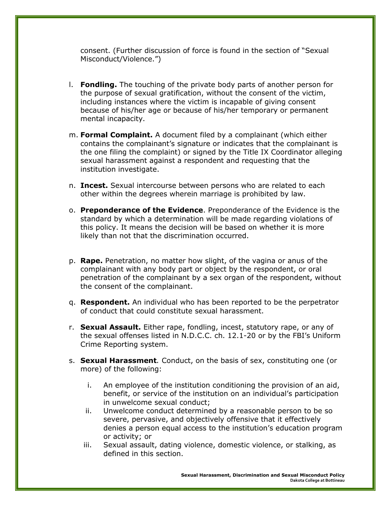consent. (Further discussion of force is found in the section of "Sexual Misconduct/Violence.")

- l. **Fondling.** The touching of the private body parts of another person for the purpose of sexual gratification, without the consent of the victim, including instances where the victim is incapable of giving consent because of his/her age or because of his/her temporary or permanent mental incapacity.
- m. **Formal Complaint.** A document filed by a complainant (which either contains the complainant's signature or indicates that the complainant is the one filing the complaint) or signed by the Title IX Coordinator alleging sexual harassment against a respondent and requesting that the institution investigate.
- n. **Incest.** Sexual intercourse between persons who are related to each other within the degrees wherein marriage is prohibited by law.
- o. **Preponderance of the Evidence**. Preponderance of the Evidence is the standard by which a determination will be made regarding violations of this policy. It means the decision will be based on whether it is more likely than not that the discrimination occurred.
- p. **Rape.** Penetration, no matter how slight, of the vagina or anus of the complainant with any body part or object by the respondent, or oral penetration of the complainant by a sex organ of the respondent, without the consent of the complainant.
- q. **Respondent.** An individual who has been reported to be the perpetrator of conduct that could constitute sexual harassment.
- r. **Sexual Assault.** Either rape, fondling, incest, statutory rape, or any of the sexual offenses listed in N.D.C.C. ch. 12.1-20 or by the FBI's Uniform Crime Reporting system.
- s. **Sexual Harassment***.* Conduct, on the basis of sex, constituting one (or more) of the following:
	- i. An employee of the institution conditioning the provision of an aid, benefit, or service of the institution on an individual's participation in unwelcome sexual conduct;
	- ii. Unwelcome conduct determined by a reasonable person to be so severe, pervasive, and objectively offensive that it effectively denies a person equal access to the institution's education program or activity; or
	- iii. Sexual assault, dating violence, domestic violence, or stalking, as defined in this section.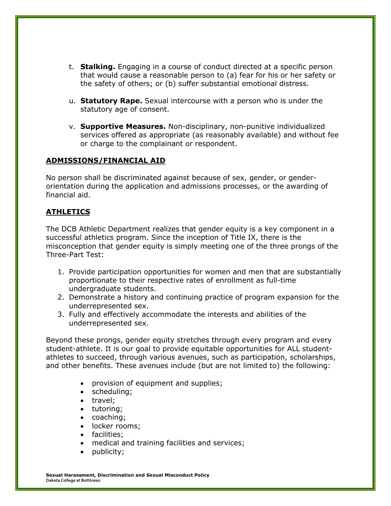- t. **Stalking.** Engaging in a course of conduct directed at a specific person that would cause a reasonable person to (a) fear for his or her safety or the safety of others; or (b) suffer substantial emotional distress.
- u. **Statutory Rape.** Sexual intercourse with a person who is under the statutory age of consent.
- v. **Supportive Measures.** Non-disciplinary, non-punitive individualized services offered as appropriate (as reasonably available) and without fee or charge to the complainant or respondent.

# **ADMISSIONS/FINANCIAL AID**

No person shall be discriminated against because of sex, gender, or genderorientation during the application and admissions processes, or the awarding of financial aid.

# **ATHLETICS**

The DCB Athletic Department realizes that gender equity is a key component in a successful athletics program. Since the inception of Title IX, there is the misconception that gender equity is simply meeting one of the three prongs of the Three-Part Test:

- 1. Provide participation opportunities for women and men that are substantially proportionate to their respective rates of enrollment as full-time undergraduate students.
- 2. Demonstrate a history and continuing practice of program expansion for the underrepresented sex.
- 3. Fully and effectively accommodate the interests and abilities of the underrepresented sex.

Beyond these prongs, gender equity stretches through every program and every student-athlete. It is our goal to provide equitable opportunities for ALL studentathletes to succeed, through various avenues, such as participation, scholarships, and other benefits. These avenues include (but are not limited to) the following:

- provision of equipment and supplies;
- scheduling;
- travel;
- tutoring;
- coaching;
- locker rooms:
- facilities;
- medical and training facilities and services;
- publicity;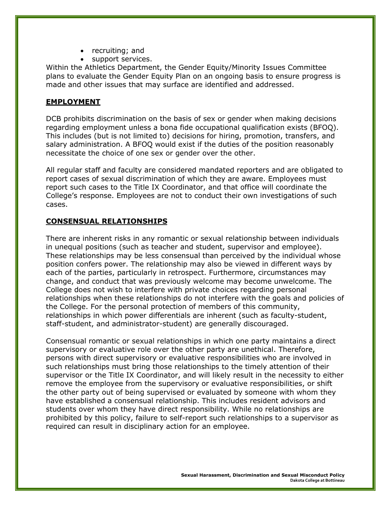- recruiting; and
- support services.

Within the Athletics Department, the Gender Equity/Minority Issues Committee plans to evaluate the Gender Equity Plan on an ongoing basis to ensure progress is made and other issues that may surface are identified and addressed.

## **EMPLOYMENT**

DCB prohibits discrimination on the basis of sex or gender when making decisions regarding employment unless a bona fide occupational qualification exists (BFOQ). This includes (but is not limited to) decisions for hiring, promotion, transfers, and salary administration. A BFOQ would exist if the duties of the position reasonably necessitate the choice of one sex or gender over the other.

All regular staff and faculty are considered mandated reporters and are obligated to report cases of sexual discrimination of which they are aware. Employees must report such cases to the Title IX Coordinator, and that office will coordinate the College's response. Employees are not to conduct their own investigations of such cases.

# **CONSENSUAL RELATIONSHIPS**

There are inherent risks in any romantic or sexual relationship between individuals in unequal positions (such as teacher and student, supervisor and employee). These relationships may be less consensual than perceived by the individual whose position confers power. The relationship may also be viewed in different ways by each of the parties, particularly in retrospect. Furthermore, circumstances may change, and conduct that was previously welcome may become unwelcome. The College does not wish to interfere with private choices regarding personal relationships when these relationships do not interfere with the goals and policies of the College. For the personal protection of members of this community, relationships in which power differentials are inherent (such as faculty-student, staff-student, and administrator-student) are generally discouraged.

Consensual romantic or sexual relationships in which one party maintains a direct supervisory or evaluative role over the other party are unethical. Therefore, persons with direct supervisory or evaluative responsibilities who are involved in such relationships must bring those relationships to the timely attention of their supervisor or the Title IX Coordinator, and will likely result in the necessity to either remove the employee from the supervisory or evaluative responsibilities, or shift the other party out of being supervised or evaluated by someone with whom they have established a consensual relationship. This includes resident advisors and students over whom they have direct responsibility. While no relationships are prohibited by this policy, failure to self-report such relationships to a supervisor as required can result in disciplinary action for an employee.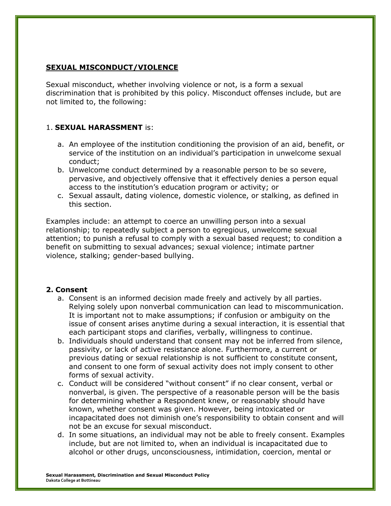## **SEXUAL MISCONDUCT/VIOLENCE**

Sexual misconduct, whether involving violence or not, is a form a sexual discrimination that is prohibited by this policy. Misconduct offenses include, but are not limited to, the following:

## 1. **SEXUAL HARASSMENT** is:

- a. An employee of the institution conditioning the provision of an aid, benefit, or service of the institution on an individual's participation in unwelcome sexual conduct;
- b. Unwelcome conduct determined by a reasonable person to be so severe, pervasive, and objectively offensive that it effectively denies a person equal access to the institution's education program or activity; or
- c. Sexual assault, dating violence, domestic violence, or stalking, as defined in this section.

Examples include: an attempt to coerce an unwilling person into a sexual relationship; to repeatedly subject a person to egregious, unwelcome sexual attention; to punish a refusal to comply with a sexual based request; to condition a benefit on submitting to sexual advances; sexual violence; intimate partner violence, stalking; gender-based bullying.

## **2. Consent**

- a. Consent is an informed decision made freely and actively by all parties. Relying solely upon nonverbal communication can lead to miscommunication. It is important not to make assumptions; if confusion or ambiguity on the issue of consent arises anytime during a sexual interaction, it is essential that each participant stops and clarifies, verbally, willingness to continue.
- b. Individuals should understand that consent may not be inferred from silence, passivity, or lack of active resistance alone. Furthermore, a current or previous dating or sexual relationship is not sufficient to constitute consent, and consent to one form of sexual activity does not imply consent to other forms of sexual activity.
- c. Conduct will be considered "without consent" if no clear consent, verbal or nonverbal, is given. The perspective of a reasonable person will be the basis for determining whether a Respondent knew, or reasonably should have known, whether consent was given. However, being intoxicated or incapacitated does not diminish one's responsibility to obtain consent and will not be an excuse for sexual misconduct.
- d. In some situations, an individual may not be able to freely consent. Examples include, but are not limited to, when an individual is incapacitated due to alcohol or other drugs, unconsciousness, intimidation, coercion, mental or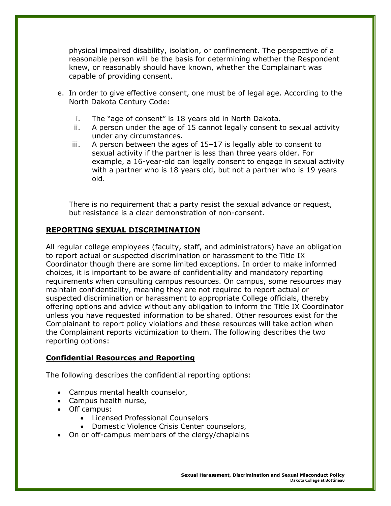physical impaired disability, isolation, or confinement. The perspective of a reasonable person will be the basis for determining whether the Respondent knew, or reasonably should have known, whether the Complainant was capable of providing consent.

- e. In order to give effective consent, one must be of legal age. According to the North Dakota Century Code:
	- i. The "age of consent" is 18 years old in North Dakota.
	- ii. A person under the age of 15 cannot legally consent to sexual activity under any circumstances.
	- iii. A person between the ages of 15–17 is legally able to consent to sexual activity if the partner is less than three years older. For example, a 16-year-old can legally consent to engage in sexual activity with a partner who is 18 years old, but not a partner who is 19 years old.

There is no requirement that a party resist the sexual advance or request, but resistance is a clear demonstration of non-consent.

# **REPORTING SEXUAL DISCRIMINATION**

All regular college employees (faculty, staff, and administrators) have an obligation to report actual or suspected discrimination or harassment to the Title IX Coordinator though there are some limited exceptions. In order to make informed choices, it is important to be aware of confidentiality and mandatory reporting requirements when consulting campus resources. On campus, some resources may maintain confidentiality, meaning they are not required to report actual or suspected discrimination or harassment to appropriate College officials, thereby offering options and advice without any obligation to inform the Title IX Coordinator unless you have requested information to be shared. Other resources exist for the Complainant to report policy violations and these resources will take action when the Complainant reports victimization to them. The following describes the two reporting options:

## **Confidential Resources and Reporting**

The following describes the confidential reporting options:

- Campus mental health counselor,
- Campus health nurse,
- Off campus:
	- Licensed Professional Counselors
	- Domestic Violence Crisis Center counselors,
- On or off-campus members of the clergy/chaplains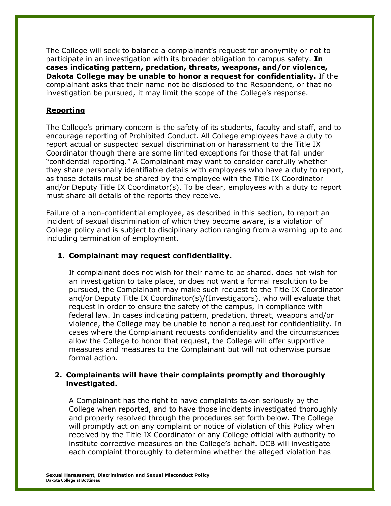The College will seek to balance a complainant's request for anonymity or not to participate in an investigation with its broader obligation to campus safety. **In cases indicating pattern, predation, threats, weapons, and/or violence, Dakota College may be unable to honor a request for confidentiality.** If the complainant asks that their name not be disclosed to the Respondent, or that no investigation be pursued, it may limit the scope of the College's response.

## **Reporting**

The College's primary concern is the safety of its students, faculty and staff, and to encourage reporting of Prohibited Conduct. All College employees have a duty to report actual or suspected sexual discrimination or harassment to the Title IX Coordinator though there are some limited exceptions for those that fall under "confidential reporting." A Complainant may want to consider carefully whether they share personally identifiable details with employees who have a duty to report, as those details must be shared by the employee with the Title IX Coordinator and/or Deputy Title IX Coordinator(s). To be clear, employees with a duty to report must share all details of the reports they receive.

Failure of a non-confidential employee, as described in this section, to report an incident of sexual discrimination of which they become aware, is a violation of College policy and is subject to disciplinary action ranging from a warning up to and including termination of employment.

#### **1. Complainant may request confidentiality.**

If complainant does not wish for their name to be shared, does not wish for an investigation to take place, or does not want a formal resolution to be pursued, the Complainant may make such request to the Title IX Coordinator and/or Deputy Title IX Coordinator(s)/(Investigators), who will evaluate that request in order to ensure the safety of the campus, in compliance with federal law. In cases indicating pattern, predation, threat, weapons and/or violence, the College may be unable to honor a request for confidentiality. In cases where the Complainant requests confidentiality and the circumstances allow the College to honor that request, the College will offer supportive measures and measures to the Complainant but will not otherwise pursue formal action.

#### **2. Complainants will have their complaints promptly and thoroughly investigated.**

A Complainant has the right to have complaints taken seriously by the College when reported, and to have those incidents investigated thoroughly and properly resolved through the procedures set forth below. The College will promptly act on any complaint or notice of violation of this Policy when received by the Title IX Coordinator or any College official with authority to institute corrective measures on the College's behalf. DCB will investigate each complaint thoroughly to determine whether the alleged violation has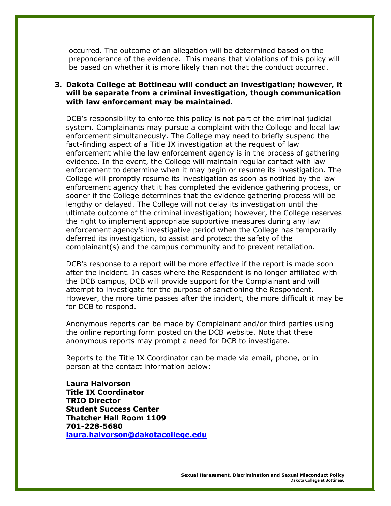occurred. The outcome of an allegation will be determined based on the preponderance of the evidence. This means that violations of this policy will be based on whether it is more likely than not that the conduct occurred.

## **3. Dakota College at Bottineau will conduct an investigation; however, it will be separate from a criminal investigation, though communication with law enforcement may be maintained.**

DCB's responsibility to enforce this policy is not part of the criminal judicial system. Complainants may pursue a complaint with the College and local law enforcement simultaneously. The College may need to briefly suspend the fact-finding aspect of a Title IX investigation at the request of law enforcement while the law enforcement agency is in the process of gathering evidence. In the event, the College will maintain regular contact with law enforcement to determine when it may begin or resume its investigation. The College will promptly resume its investigation as soon as notified by the law enforcement agency that it has completed the evidence gathering process, or sooner if the College determines that the evidence gathering process will be lengthy or delayed. The College will not delay its investigation until the ultimate outcome of the criminal investigation; however, the College reserves the right to implement appropriate supportive measures during any law enforcement agency's investigative period when the College has temporarily deferred its investigation, to assist and protect the safety of the complainant(s) and the campus community and to prevent retaliation.

DCB's response to a report will be more effective if the report is made soon after the incident. In cases where the Respondent is no longer affiliated with the DCB campus, DCB will provide support for the Complainant and will attempt to investigate for the purpose of sanctioning the Respondent. However, the more time passes after the incident, the more difficult it may be for DCB to respond.

Anonymous reports can be made by Complainant and/or third parties using the online reporting form posted on the DCB website. Note that these anonymous reports may prompt a need for DCB to investigate.

Reports to the Title IX Coordinator can be made via email, phone, or in person at the contact information below:

**Laura Halvorson Title IX Coordinator TRIO Director Student Success Center Thatcher Hall Room 1109 701-228-5680 [laura.halvorson@dakotacollege.edu](mailto:titleix@ndus.edu)**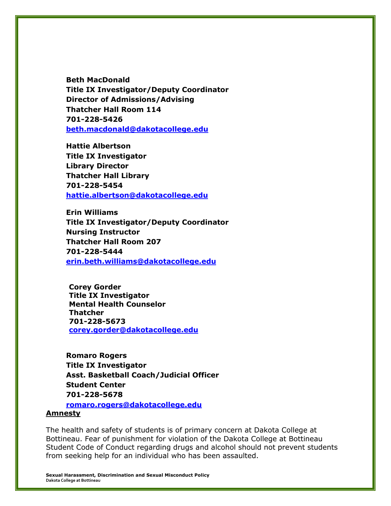**Beth MacDonald Title IX Investigator/Deputy Coordinator Director of Admissions/Advising Thatcher Hall Room 114 701-228-5426 beth.macdonald@dakotacollege.edu**

**Hattie Albertson Title IX Investigator Library Director Thatcher Hall Library 701-228-5454 [hattie.albertson@dakotacollege.edu](mailto:steven.j.swenson@ndus.edu)**

**Erin Williams Title IX Investigator/Deputy Coordinator Nursing Instructor Thatcher Hall Room 207 701-228-5444 erin.beth.williams@dakotacollege.edu**

**Corey Gorder Title IX Investigator Mental Health Counselor Thatcher 701-228-5673 [corey.gorder@dakotacollege.edu](mailto:corey.gorder@dakotacollege.edu)**

**Romaro Rogers Title IX Investigator Asst. Basketball Coach/Judicial Officer Student Center 701-228-5678**

**[romaro.rogers@dakotacollege.edu](mailto:romaro.rogers@dakotacollege.edu)**

## **Amnesty**

The health and safety of students is of primary concern at Dakota College at Bottineau. Fear of punishment for violation of the Dakota College at Bottineau Student Code of Conduct regarding drugs and alcohol should not prevent students from seeking help for an individual who has been assaulted.

**Sexual Harassment, Discrimination and Sexual Misconduct Policy Dakota College at Bottineau**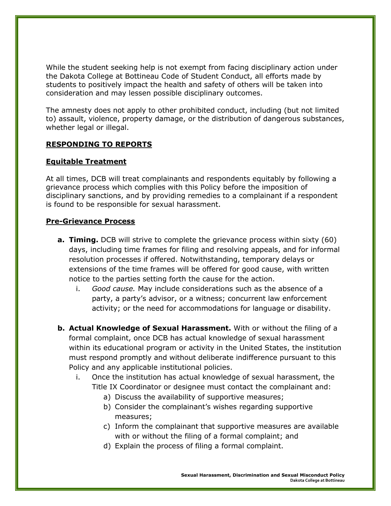While the student seeking help is not exempt from facing disciplinary action under the Dakota College at Bottineau Code of Student Conduct, all efforts made by students to positively impact the health and safety of others will be taken into consideration and may lessen possible disciplinary outcomes.

The amnesty does not apply to other prohibited conduct, including (but not limited to) assault, violence, property damage, or the distribution of dangerous substances, whether legal or illegal.

# **RESPONDING TO REPORTS**

# **Equitable Treatment**

At all times, DCB will treat complainants and respondents equitably by following a grievance process which complies with this Policy before the imposition of disciplinary sanctions, and by providing remedies to a complainant if a respondent is found to be responsible for sexual harassment.

# **Pre-Grievance Process**

- **a. Timing.** DCB will strive to complete the grievance process within sixty (60) days, including time frames for filing and resolving appeals, and for informal resolution processes if offered. Notwithstanding, temporary delays or extensions of the time frames will be offered for good cause, with written notice to the parties setting forth the cause for the action.
	- i. *Good cause.* May include considerations such as the absence of a party, a party's advisor, or a witness; concurrent law enforcement activity; or the need for accommodations for language or disability.
- **b. Actual Knowledge of Sexual Harassment.** With or without the filing of a formal complaint, once DCB has actual knowledge of sexual harassment within its educational program or activity in the United States, the institution must respond promptly and without deliberate indifference pursuant to this Policy and any applicable institutional policies.
	- i. Once the institution has actual knowledge of sexual harassment, the Title IX Coordinator or designee must contact the complainant and:
		- a) Discuss the availability of supportive measures;
		- b) Consider the complainant's wishes regarding supportive measures;
		- c) Inform the complainant that supportive measures are available with or without the filing of a formal complaint; and
		- d) Explain the process of filing a formal complaint.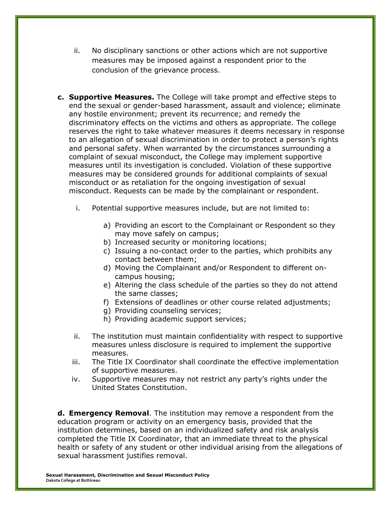- ii. No disciplinary sanctions or other actions which are not supportive measures may be imposed against a respondent prior to the conclusion of the grievance process.
- **c. Supportive Measures.** The College will take prompt and effective steps to end the sexual or gender-based harassment, assault and violence; eliminate any hostile environment; prevent its recurrence; and remedy the discriminatory effects on the victims and others as appropriate. The college reserves the right to take whatever measures it deems necessary in response to an allegation of sexual discrimination in order to protect a person's rights and personal safety. When warranted by the circumstances surrounding a complaint of sexual misconduct, the College may implement supportive measures until its investigation is concluded. Violation of these supportive measures may be considered grounds for additional complaints of sexual misconduct or as retaliation for the ongoing investigation of sexual misconduct. Requests can be made by the complainant or respondent.
	- i. Potential supportive measures include, but are not limited to:
		- a) Providing an escort to the Complainant or Respondent so they may move safely on campus;
		- b) Increased security or monitoring locations;
		- c) Issuing a no-contact order to the parties, which prohibits any contact between them;
		- d) Moving the Complainant and/or Respondent to different oncampus housing;
		- e) Altering the class schedule of the parties so they do not attend the same classes;
		- f) Extensions of deadlines or other course related adjustments;
		- g) Providing counseling services;
		- h) Providing academic support services;
	- ii. The institution must maintain confidentiality with respect to supportive measures unless disclosure is required to implement the supportive measures.
	- iii. The Title IX Coordinator shall coordinate the effective implementation of supportive measures.
	- iv. Supportive measures may not restrict any party's rights under the United States Constitution.

**d. Emergency Removal**. The institution may remove a respondent from the education program or activity on an emergency basis, provided that the institution determines, based on an individualized safety and risk analysis completed the Title IX Coordinator, that an immediate threat to the physical health or safety of any student or other individual arising from the allegations of sexual harassment justifies removal.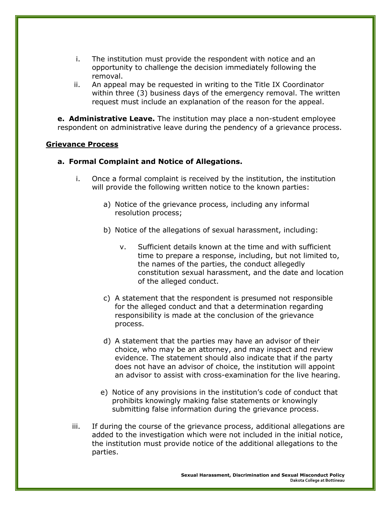- i. The institution must provide the respondent with notice and an opportunity to challenge the decision immediately following the removal.
- ii. An appeal may be requested in writing to the Title IX Coordinator within three (3) business days of the emergency removal. The written request must include an explanation of the reason for the appeal.

**e. Administrative Leave.** The institution may place a non-student employee respondent on administrative leave during the pendency of a grievance process.

## **Grievance Process**

## **a. Formal Complaint and Notice of Allegations.**

- i. Once a formal complaint is received by the institution, the institution will provide the following written notice to the known parties:
	- a) Notice of the grievance process, including any informal resolution process;
	- b) Notice of the allegations of sexual harassment, including:
		- v. Sufficient details known at the time and with sufficient time to prepare a response, including, but not limited to, the names of the parties, the conduct allegedly constitution sexual harassment, and the date and location of the alleged conduct.
	- c) A statement that the respondent is presumed not responsible for the alleged conduct and that a determination regarding responsibility is made at the conclusion of the grievance process.
	- d) A statement that the parties may have an advisor of their choice, who may be an attorney, and may inspect and review evidence. The statement should also indicate that if the party does not have an advisor of choice, the institution will appoint an advisor to assist with cross-examination for the live hearing.
	- e) Notice of any provisions in the institution's code of conduct that prohibits knowingly making false statements or knowingly submitting false information during the grievance process.
- iii. If during the course of the grievance process, additional allegations are added to the investigation which were not included in the initial notice, the institution must provide notice of the additional allegations to the parties.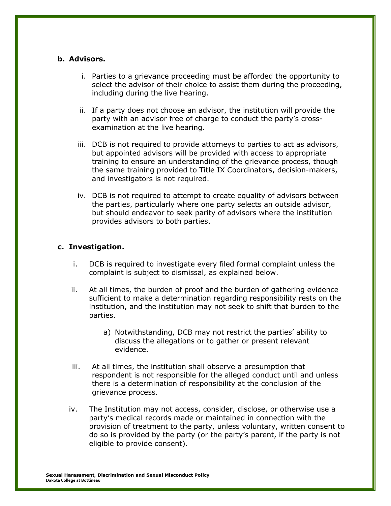## **b. Advisors.**

- i. Parties to a grievance proceeding must be afforded the opportunity to select the advisor of their choice to assist them during the proceeding, including during the live hearing.
- ii. If a party does not choose an advisor, the institution will provide the party with an advisor free of charge to conduct the party's crossexamination at the live hearing.
- iii. DCB is not required to provide attorneys to parties to act as advisors, but appointed advisors will be provided with access to appropriate training to ensure an understanding of the grievance process, though the same training provided to Title IX Coordinators, decision-makers, and investigators is not required.
- iv. DCB is not required to attempt to create equality of advisors between the parties, particularly where one party selects an outside advisor, but should endeavor to seek parity of advisors where the institution provides advisors to both parties.

## **c. Investigation.**

- i. DCB is required to investigate every filed formal complaint unless the complaint is subject to dismissal, as explained below.
- ii. At all times, the burden of proof and the burden of gathering evidence sufficient to make a determination regarding responsibility rests on the institution, and the institution may not seek to shift that burden to the parties.
	- a) Notwithstanding, DCB may not restrict the parties' ability to discuss the allegations or to gather or present relevant evidence.
- iii. At all times, the institution shall observe a presumption that respondent is not responsible for the alleged conduct until and unless there is a determination of responsibility at the conclusion of the grievance process.
- iv. The Institution may not access, consider, disclose, or otherwise use a party's medical records made or maintained in connection with the provision of treatment to the party, unless voluntary, written consent to do so is provided by the party (or the party's parent, if the party is not eligible to provide consent).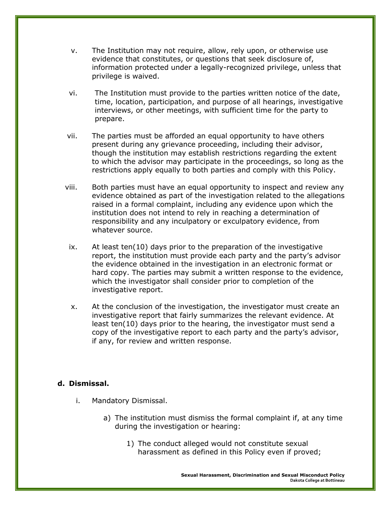- v. The Institution may not require, allow, rely upon, or otherwise use evidence that constitutes, or questions that seek disclosure of, information protected under a legally-recognized privilege, unless that privilege is waived.
- vi. The Institution must provide to the parties written notice of the date, time, location, participation, and purpose of all hearings, investigative interviews, or other meetings, with sufficient time for the party to prepare.
- vii. The parties must be afforded an equal opportunity to have others present during any grievance proceeding, including their advisor, though the institution may establish restrictions regarding the extent to which the advisor may participate in the proceedings, so long as the restrictions apply equally to both parties and comply with this Policy.
- viii. Both parties must have an equal opportunity to inspect and review any evidence obtained as part of the investigation related to the allegations raised in a formal complaint, including any evidence upon which the institution does not intend to rely in reaching a determination of responsibility and any inculpatory or exculpatory evidence, from whatever source.
- ix. At least ten(10) days prior to the preparation of the investigative report, the institution must provide each party and the party's advisor the evidence obtained in the investigation in an electronic format or hard copy. The parties may submit a written response to the evidence, which the investigator shall consider prior to completion of the investigative report.
- x. At the conclusion of the investigation, the investigator must create an investigative report that fairly summarizes the relevant evidence. At least ten(10) days prior to the hearing, the investigator must send a copy of the investigative report to each party and the party's advisor, if any, for review and written response.

## **d. Dismissal.**

- i. Mandatory Dismissal.
	- a) The institution must dismiss the formal complaint if, at any time during the investigation or hearing:
		- 1) The conduct alleged would not constitute sexual harassment as defined in this Policy even if proved;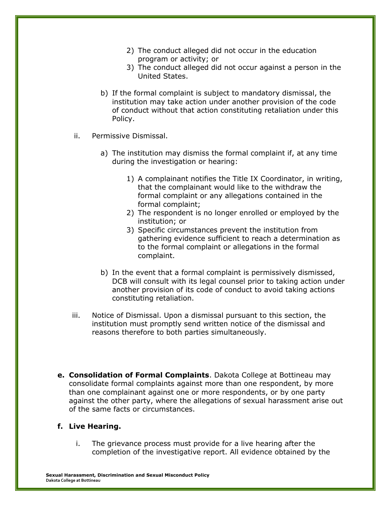- 2) The conduct alleged did not occur in the education program or activity; or
- 3) The conduct alleged did not occur against a person in the United States.
- b) If the formal complaint is subject to mandatory dismissal, the institution may take action under another provision of the code of conduct without that action constituting retaliation under this Policy.
- ii. Permissive Dismissal.
	- a) The institution may dismiss the formal complaint if, at any time during the investigation or hearing:
		- 1) A complainant notifies the Title IX Coordinator, in writing, that the complainant would like to the withdraw the formal complaint or any allegations contained in the formal complaint;
		- 2) The respondent is no longer enrolled or employed by the institution; or
		- 3) Specific circumstances prevent the institution from gathering evidence sufficient to reach a determination as to the formal complaint or allegations in the formal complaint.
	- b) In the event that a formal complaint is permissively dismissed, DCB will consult with its legal counsel prior to taking action under another provision of its code of conduct to avoid taking actions constituting retaliation.
- iii. Notice of Dismissal. Upon a dismissal pursuant to this section, the institution must promptly send written notice of the dismissal and reasons therefore to both parties simultaneously.
- **e. Consolidation of Formal Complaints**. Dakota College at Bottineau may consolidate formal complaints against more than one respondent, by more than one complainant against one or more respondents, or by one party against the other party, where the allegations of sexual harassment arise out of the same facts or circumstances.

# **f. Live Hearing.**

i. The grievance process must provide for a live hearing after the completion of the investigative report. All evidence obtained by the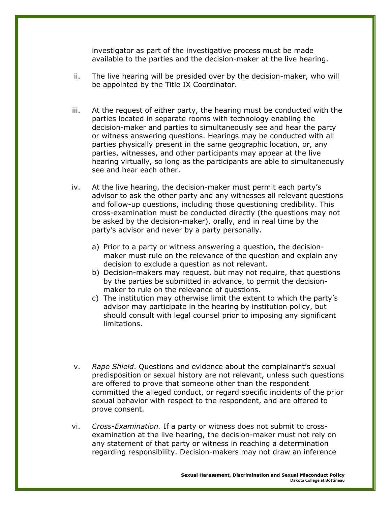investigator as part of the investigative process must be made available to the parties and the decision-maker at the live hearing.

- ii. The live hearing will be presided over by the decision-maker, who will be appointed by the Title IX Coordinator.
- iii. At the request of either party, the hearing must be conducted with the parties located in separate rooms with technology enabling the decision-maker and parties to simultaneously see and hear the party or witness answering questions. Hearings may be conducted with all parties physically present in the same geographic location, or, any parties, witnesses, and other participants may appear at the live hearing virtually, so long as the participants are able to simultaneously see and hear each other.
- iv. At the live hearing, the decision-maker must permit each party's advisor to ask the other party and any witnesses all relevant questions and follow-up questions, including those questioning credibility. This cross-examination must be conducted directly (the questions may not be asked by the decision-maker), orally, and in real time by the party's advisor and never by a party personally.
	- a) Prior to a party or witness answering a question, the decisionmaker must rule on the relevance of the question and explain any decision to exclude a question as not relevant.
	- b) Decision-makers may request, but may not require, that questions by the parties be submitted in advance, to permit the decisionmaker to rule on the relevance of questions.
	- c) The institution may otherwise limit the extent to which the party's advisor may participate in the hearing by institution policy, but should consult with legal counsel prior to imposing any significant limitations.
- v. *Rape Shield*. Questions and evidence about the complainant's sexual predisposition or sexual history are not relevant, unless such questions are offered to prove that someone other than the respondent committed the alleged conduct, or regard specific incidents of the prior sexual behavior with respect to the respondent, and are offered to prove consent.
- vi. *Cross-Examination.* If a party or witness does not submit to crossexamination at the live hearing, the decision-maker must not rely on any statement of that party or witness in reaching a determination regarding responsibility. Decision-makers may not draw an inference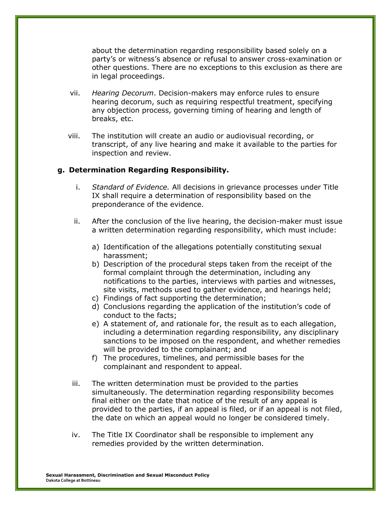about the determination regarding responsibility based solely on a party's or witness's absence or refusal to answer cross-examination or other questions. There are no exceptions to this exclusion as there are in legal proceedings.

- vii. *Hearing Decorum*. Decision-makers may enforce rules to ensure hearing decorum, such as requiring respectful treatment, specifying any objection process, governing timing of hearing and length of breaks, etc.
- viii. The institution will create an audio or audiovisual recording, or transcript, of any live hearing and make it available to the parties for inspection and review.

#### **g. Determination Regarding Responsibility.**

- i. *Standard of Evidence.* All decisions in grievance processes under Title IX shall require a determination of responsibility based on the preponderance of the evidence.
- ii. After the conclusion of the live hearing, the decision-maker must issue a written determination regarding responsibility, which must include:
	- a) Identification of the allegations potentially constituting sexual harassment;
	- b) Description of the procedural steps taken from the receipt of the formal complaint through the determination, including any notifications to the parties, interviews with parties and witnesses, site visits, methods used to gather evidence, and hearings held;
	- c) Findings of fact supporting the determination;
	- d) Conclusions regarding the application of the institution's code of conduct to the facts;
	- e) A statement of, and rationale for, the result as to each allegation, including a determination regarding responsibility, any disciplinary sanctions to be imposed on the respondent, and whether remedies will be provided to the complainant; and
	- f) The procedures, timelines, and permissible bases for the complainant and respondent to appeal.
- iii. The written determination must be provided to the parties simultaneously. The determination regarding responsibility becomes final either on the date that notice of the result of any appeal is provided to the parties, if an appeal is filed, or if an appeal is not filed, the date on which an appeal would no longer be considered timely.
- iv. The Title IX Coordinator shall be responsible to implement any remedies provided by the written determination.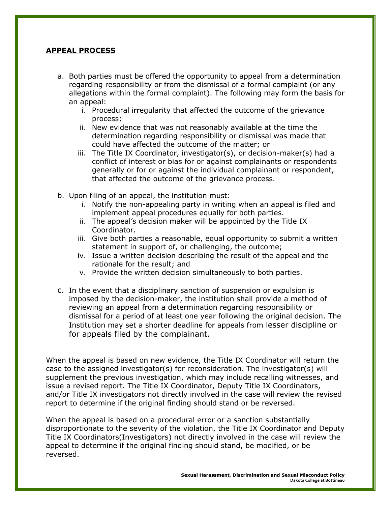## **APPEAL PROCESS**

- a. Both parties must be offered the opportunity to appeal from a determination regarding responsibility or from the dismissal of a formal complaint (or any allegations within the formal complaint). The following may form the basis for an appeal:
	- i. Procedural irregularity that affected the outcome of the grievance process;
	- ii. New evidence that was not reasonably available at the time the determination regarding responsibility or dismissal was made that could have affected the outcome of the matter; or
	- iii. The Title IX Coordinator, investigator(s), or decision-maker(s) had a conflict of interest or bias for or against complainants or respondents generally or for or against the individual complainant or respondent, that affected the outcome of the grievance process.
- b. Upon filing of an appeal, the institution must:
	- i. Notify the non-appealing party in writing when an appeal is filed and implement appeal procedures equally for both parties.
	- ii. The appeal's decision maker will be appointed by the Title IX Coordinator.
	- iii. Give both parties a reasonable, equal opportunity to submit a written statement in support of, or challenging, the outcome;
	- iv. Issue a written decision describing the result of the appeal and the rationale for the result; and
	- v. Provide the written decision simultaneously to both parties.
- c. In the event that a disciplinary sanction of suspension or expulsion is imposed by the decision-maker, the institution shall provide a method of reviewing an appeal from a determination regarding responsibility or dismissal for a period of at least one year following the original decision. The Institution may set a shorter deadline for appeals from lesser discipline or for appeals filed by the complainant.

When the appeal is based on new evidence, the Title IX Coordinator will return the case to the assigned investigator(s) for reconsideration. The investigator(s) will supplement the previous investigation, which may include recalling witnesses, and issue a revised report. The Title IX Coordinator, Deputy Title IX Coordinators, and/or Title IX investigators not directly involved in the case will review the revised report to determine if the original finding should stand or be reversed.

When the appeal is based on a procedural error or a sanction substantially disproportionate to the severity of the violation, the Title IX Coordinator and Deputy Title IX Coordinators(Investigators) not directly involved in the case will review the appeal to determine if the original finding should stand, be modified, or be reversed.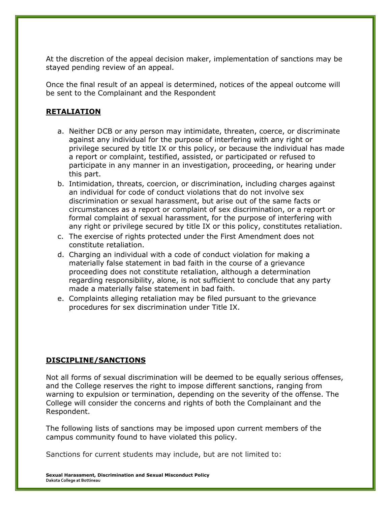At the discretion of the appeal decision maker, implementation of sanctions may be stayed pending review of an appeal.

Once the final result of an appeal is determined, notices of the appeal outcome will be sent to the Complainant and the Respondent

## **RETALIATION**

- a. Neither DCB or any person may intimidate, threaten, coerce, or discriminate against any individual for the purpose of interfering with any right or privilege secured by title IX or this policy, or because the individual has made a report or complaint, testified, assisted, or participated or refused to participate in any manner in an investigation, proceeding, or hearing under this part.
- b. Intimidation, threats, coercion, or discrimination, including charges against an individual for code of conduct violations that do not involve sex discrimination or sexual harassment, but arise out of the same facts or circumstances as a report or complaint of sex discrimination, or a report or formal complaint of sexual harassment, for the purpose of interfering with any right or privilege secured by title IX or this policy, constitutes retaliation.
- c. The exercise of rights protected under the First Amendment does not constitute retaliation.
- d. Charging an individual with a code of conduct violation for making a materially false statement in bad faith in the course of a grievance proceeding does not constitute retaliation, although a determination regarding responsibility, alone, is not sufficient to conclude that any party made a materially false statement in bad faith.
- e. Complaints alleging retaliation may be filed pursuant to the grievance procedures for sex discrimination under Title IX.

#### **DISCIPLINE/SANCTIONS**

Not all forms of sexual discrimination will be deemed to be equally serious offenses, and the College reserves the right to impose different sanctions, ranging from warning to expulsion or termination, depending on the severity of the offense. The College will consider the concerns and rights of both the Complainant and the Respondent.

The following lists of sanctions may be imposed upon current members of the campus community found to have violated this policy.

Sanctions for current students may include, but are not limited to: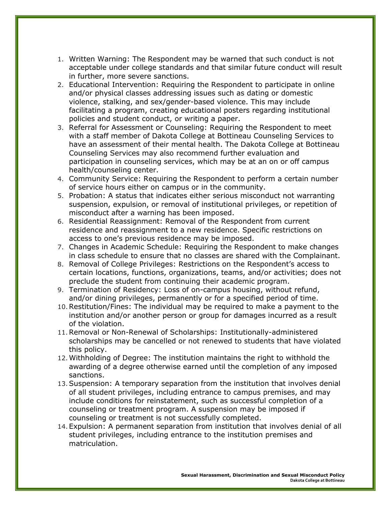- 1. Written Warning: The Respondent may be warned that such conduct is not acceptable under college standards and that similar future conduct will result in further, more severe sanctions.
- 2. Educational Intervention: Requiring the Respondent to participate in online and/or physical classes addressing issues such as dating or domestic violence, stalking, and sex/gender-based violence. This may include facilitating a program, creating educational posters regarding institutional policies and student conduct, or writing a paper.
- 3. Referral for Assessment or Counseling: Requiring the Respondent to meet with a staff member of Dakota College at Bottineau Counseling Services to have an assessment of their mental health. The Dakota College at Bottineau Counseling Services may also recommend further evaluation and participation in counseling services, which may be at an on or off campus health/counseling center.
- 4. Community Service: Requiring the Respondent to perform a certain number of service hours either on campus or in the community.
- 5. Probation: A status that indicates either serious misconduct not warranting suspension, expulsion, or removal of institutional privileges, or repetition of misconduct after a warning has been imposed.
- 6. Residential Reassignment: Removal of the Respondent from current residence and reassignment to a new residence. Specific restrictions on access to one's previous residence may be imposed.
- 7. Changes in Academic Schedule: Requiring the Respondent to make changes in class schedule to ensure that no classes are shared with the Complainant.
- 8. Removal of College Privileges: Restrictions on the Respondent's access to certain locations, functions, organizations, teams, and/or activities; does not preclude the student from continuing their academic program.
- 9. Termination of Residency: Loss of on-campus housing, without refund, and/or dining privileges, permanently or for a specified period of time.
- 10.Restitution/Fines: The individual may be required to make a payment to the institution and/or another person or group for damages incurred as a result of the violation.
- 11.Removal or Non-Renewal of Scholarships: Institutionally-administered scholarships may be cancelled or not renewed to students that have violated this policy.
- 12.Withholding of Degree: The institution maintains the right to withhold the awarding of a degree otherwise earned until the completion of any imposed sanctions.
- 13.Suspension: A temporary separation from the institution that involves denial of all student privileges, including entrance to campus premises, and may include conditions for reinstatement, such as successful completion of a counseling or treatment program. A suspension may be imposed if counseling or treatment is not successfully completed.
- 14.Expulsion: A permanent separation from institution that involves denial of all student privileges, including entrance to the institution premises and matriculation.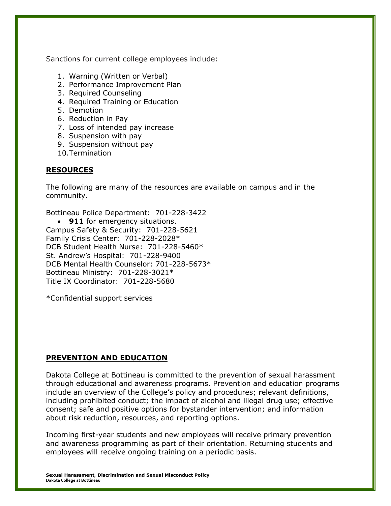Sanctions for current college employees include:

- 1. Warning (Written or Verbal)
- 2. Performance Improvement Plan
- 3. Required Counseling
- 4. Required Training or Education
- 5. Demotion
- 6. Reduction in Pay
- 7. Loss of intended pay increase
- 8. Suspension with pay
- 9. Suspension without pay
- 10.Termination

# **RESOURCES**

The following are many of the resources are available on campus and in the community.

Bottineau Police Department: 701-228-3422 • **911** for emergency situations. Campus Safety & Security: 701-228-5621 Family Crisis Center: 701-228-2028\* DCB Student Health Nurse: 701-228-5460\* St. Andrew's Hospital: 701-228-9400 DCB Mental Health Counselor: 701-228-5673\* Bottineau Ministry: 701-228-3021\* Title IX Coordinator: 701-228-5680

\*Confidential support services

# **PREVENTION AND EDUCATION**

Dakota College at Bottineau is committed to the prevention of sexual harassment through educational and awareness programs. Prevention and education programs include an overview of the College's policy and procedures; relevant definitions, including prohibited conduct; the impact of alcohol and illegal drug use; effective consent; safe and positive options for bystander intervention; and information about risk reduction, resources, and reporting options.

Incoming first-year students and new employees will receive primary prevention and awareness programming as part of their orientation. Returning students and employees will receive ongoing training on a periodic basis.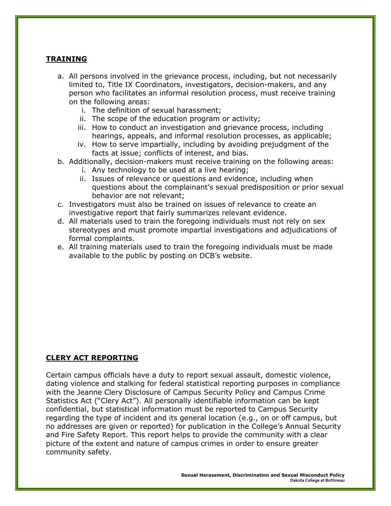# **TRAINING**

- a. All persons involved in the grievance process, including, but not necessarily limited to, Title IX Coordinators, investigators, decision-makers, and any person who facilitates an informal resolution process, must receive training on the following areas:
	- i. The definition of sexual harassment;
	- ii. The scope of the education program or activity;
	- iii. How to conduct an investigation and grievance process, including hearings, appeals, and informal resolution processes, as applicable;
	- iv. How to serve impartially, including by avoiding prejudgment of the facts at issue; conflicts of interest, and bias.
- b. Additionally, decision-makers must receive training on the following areas:
	- i. Any technology to be used at a live hearing;
	- ii. Issues of relevance or questions and evidence, including when questions about the complainant's sexual predisposition or prior sexual behavior are not relevant;
- c. Investigators must also be trained on issues of relevance to create an investigative report that fairly summarizes relevant evidence.
- d. All materials used to train the foregoing individuals must not rely on sex stereotypes and must promote impartial investigations and adjudications of formal complaints.
- e. All training materials used to train the foregoing individuals must be made available to the public by posting on DCB's website.

# **CLERY ACT REPORTING**

Certain campus officials have a duty to report sexual assault, domestic violence, dating violence and stalking for federal statistical reporting purposes in compliance with the Jeanne Clery Disclosure of Campus Security Policy and Campus Crime Statistics Act ("Clery Act"). All personally identifiable information can be kept confidential, but statistical information must be reported to Campus Security regarding the type of incident and its general location (e.g., on or off campus, but no addresses are given or reported) for publication in the College's Annual Security and Fire Safety Report. This report helps to provide the community with a clear picture of the extent and nature of campus crimes in order to ensure greater community safety.